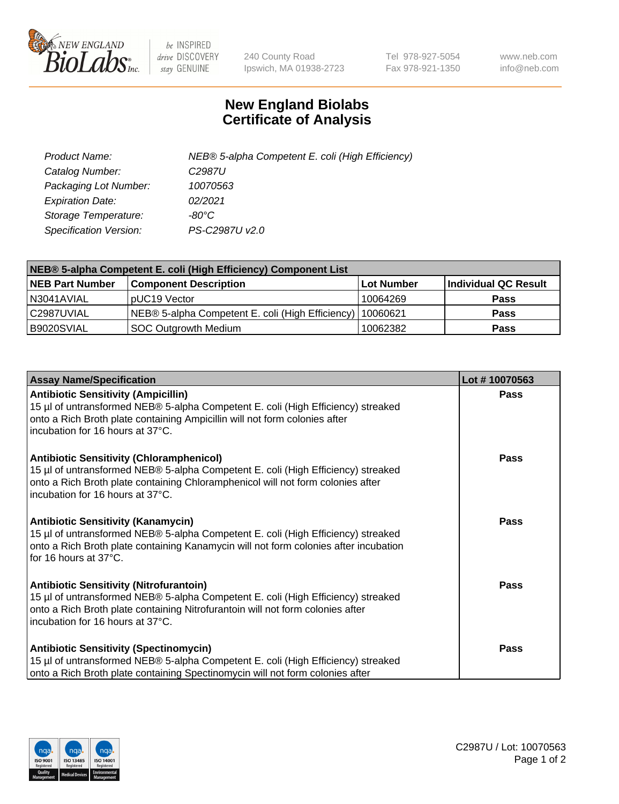

 $be$  INSPIRED drive DISCOVERY stay GENUINE

240 County Road Ipswich, MA 01938-2723 Tel 978-927-5054 Fax 978-921-1350 www.neb.com info@neb.com

## **New England Biolabs Certificate of Analysis**

| Product Name:           | NEB® 5-alpha Competent E. coli (High Efficiency) |
|-------------------------|--------------------------------------------------|
| Catalog Number:         | C <sub>2987</sub> U                              |
| Packaging Lot Number:   | 10070563                                         |
| <b>Expiration Date:</b> | 02/2021                                          |
| Storage Temperature:    | -80°C                                            |
| Specification Version:  | PS-C2987U v2.0                                   |

| NEB® 5-alpha Competent E. coli (High Efficiency) Component List |                                                  |            |                      |  |
|-----------------------------------------------------------------|--------------------------------------------------|------------|----------------------|--|
| <b>NEB Part Number</b>                                          | <b>Component Description</b>                     | Lot Number | Individual QC Result |  |
| N3041AVIAL                                                      | pUC19 Vector                                     | 10064269   | <b>Pass</b>          |  |
| C2987UVIAL                                                      | NEB® 5-alpha Competent E. coli (High Efficiency) | 10060621   | <b>Pass</b>          |  |
| B9020SVIAL                                                      | <b>SOC Outgrowth Medium</b>                      | 10062382   | <b>Pass</b>          |  |

| <b>Assay Name/Specification</b>                                                                                                                                                                                                                            | Lot #10070563 |
|------------------------------------------------------------------------------------------------------------------------------------------------------------------------------------------------------------------------------------------------------------|---------------|
| <b>Antibiotic Sensitivity (Ampicillin)</b><br>15 µl of untransformed NEB® 5-alpha Competent E. coli (High Efficiency) streaked<br>onto a Rich Broth plate containing Ampicillin will not form colonies after<br>incubation for 16 hours at 37°C.           | <b>Pass</b>   |
| <b>Antibiotic Sensitivity (Chloramphenicol)</b><br>15 µl of untransformed NEB® 5-alpha Competent E. coli (High Efficiency) streaked<br>onto a Rich Broth plate containing Chloramphenicol will not form colonies after<br>incubation for 16 hours at 37°C. | Pass          |
| Antibiotic Sensitivity (Kanamycin)<br>15 µl of untransformed NEB® 5-alpha Competent E. coli (High Efficiency) streaked<br>onto a Rich Broth plate containing Kanamycin will not form colonies after incubation<br>for 16 hours at 37°C.                    | Pass          |
| <b>Antibiotic Sensitivity (Nitrofurantoin)</b><br>15 µl of untransformed NEB® 5-alpha Competent E. coli (High Efficiency) streaked<br>onto a Rich Broth plate containing Nitrofurantoin will not form colonies after<br>incubation for 16 hours at 37°C.   | <b>Pass</b>   |
| <b>Antibiotic Sensitivity (Spectinomycin)</b><br>15 µl of untransformed NEB® 5-alpha Competent E. coli (High Efficiency) streaked<br>onto a Rich Broth plate containing Spectinomycin will not form colonies after                                         | Pass          |